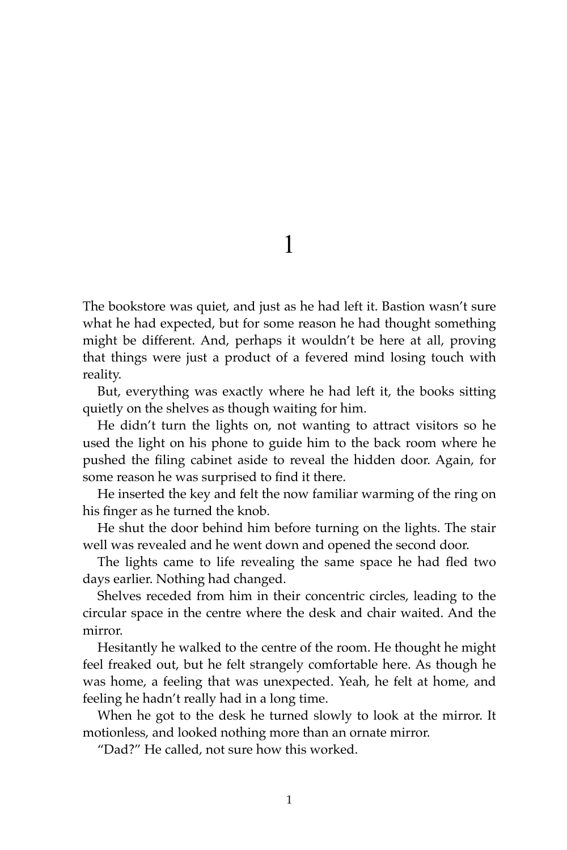The bookstore was quiet, and just as he had left it. Bastion wasn't sure what he had expected, but for some reason he had thought something might be different. And, perhaps it wouldn't be here at all, proving that things were just a product of a fevered mind losing touch with reality.

But, everything was exactly where he had left it, the books sitting quietly on the shelves as though waiting for him.

He didn't turn the lights on, not wanting to attract visitors so he used the light on his phone to guide him to the back room where he pushed the filing cabinet aside to reveal the hidden door. Again, for some reason he was surprised to find it there.

He inserted the key and felt the now familiar warming of the ring on his finger as he turned the knob.

He shut the door behind him before turning on the lights. The stair well was revealed and he went down and opened the second door.

The lights came to life revealing the same space he had fled two days earlier. Nothing had changed.

Shelves receded from him in their concentric circles, leading to the circular space in the centre where the desk and chair waited. And the mirror.

Hesitantly he walked to the centre of the room. He thought he might feel freaked out, but he felt strangely comfortable here. As though he was home, a feeling that was unexpected. Yeah, he felt at home, and feeling he hadn't really had in a long time.

When he got to the desk he turned slowly to look at the mirror. It motionless, and looked nothing more than an ornate mirror.

"Dad?" He called, not sure how this worked.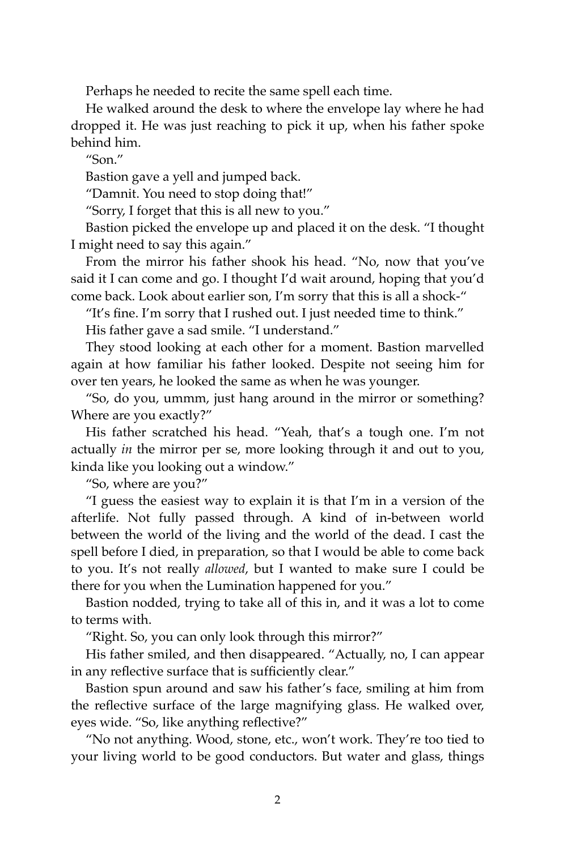Perhaps he needed to recite the same spell each time.

He walked around the desk to where the envelope lay where he had dropped it. He was just reaching to pick it up, when his father spoke behind him.

"Son."

Bastion gave a yell and jumped back.

"Damnit. You need to stop doing that!"

"Sorry, I forget that this is all new to you."

Bastion picked the envelope up and placed it on the desk. "I thought I might need to say this again."

From the mirror his father shook his head. "No, now that you've said it I can come and go. I thought I'd wait around, hoping that you'd come back. Look about earlier son, I'm sorry that this is all a shock-"

"It's fine. I'm sorry that I rushed out. I just needed time to think." His father gave a sad smile. "I understand."

They stood looking at each other for a moment. Bastion marvelled again at how familiar his father looked. Despite not seeing him for over ten years, he looked the same as when he was younger.

"So, do you, ummm, just hang around in the mirror or something? Where are you exactly?"

His father scratched his head. "Yeah, that's a tough one. I'm not actually *in* the mirror per se, more looking through it and out to you, kinda like you looking out a window."

"So, where are you?"

"I guess the easiest way to explain it is that I'm in a version of the afterlife. Not fully passed through. A kind of in-between world between the world of the living and the world of the dead. I cast the spell before I died, in preparation, so that I would be able to come back to you. It's not really *allowed*, but I wanted to make sure I could be there for you when the Lumination happened for you."

Bastion nodded, trying to take all of this in, and it was a lot to come to terms with.

"Right. So, you can only look through this mirror?"

His father smiled, and then disappeared. "Actually, no, I can appear in any reflective surface that is sufficiently clear."

Bastion spun around and saw his father's face, smiling at him from the reflective surface of the large magnifying glass. He walked over, eyes wide. "So, like anything reflective?"

"No not anything. Wood, stone, etc., won't work. They're too tied to your living world to be good conductors. But water and glass, things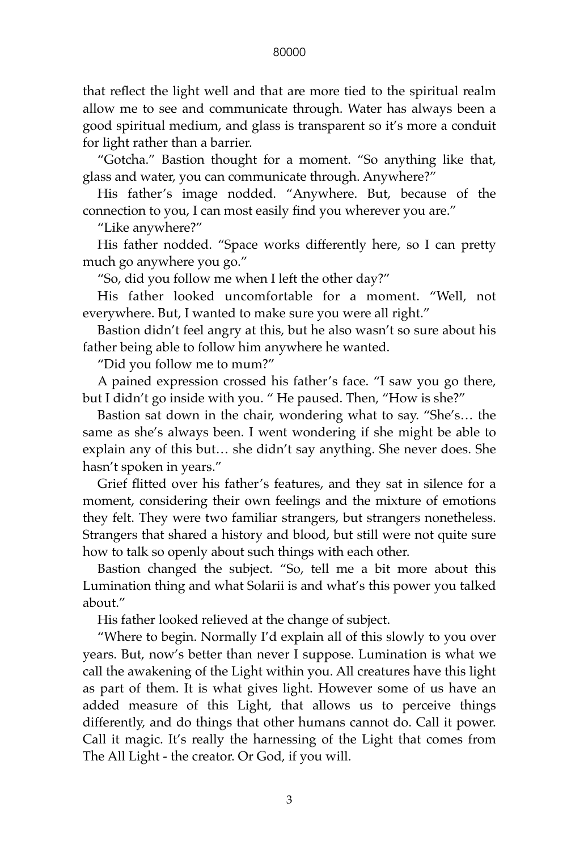that reflect the light well and that are more tied to the spiritual realm allow me to see and communicate through. Water has always been a good spiritual medium, and glass is transparent so it's more a conduit for light rather than a barrier.

"Gotcha." Bastion thought for a moment. "So anything like that, glass and water, you can communicate through. Anywhere?"

His father's image nodded. "Anywhere. But, because of the connection to you, I can most easily find you wherever you are."

"Like anywhere?"

His father nodded. "Space works differently here, so I can pretty much go anywhere you go."

"So, did you follow me when I left the other day?"

His father looked uncomfortable for a moment. "Well, not everywhere. But, I wanted to make sure you were all right."

Bastion didn't feel angry at this, but he also wasn't so sure about his father being able to follow him anywhere he wanted.

"Did you follow me to mum?"

A pained expression crossed his father's face. "I saw you go there, but I didn't go inside with you. " He paused. Then, "How is she?"

Bastion sat down in the chair, wondering what to say. "She's… the same as she's always been. I went wondering if she might be able to explain any of this but… she didn't say anything. She never does. She hasn't spoken in years."

Grief flitted over his father's features, and they sat in silence for a moment, considering their own feelings and the mixture of emotions they felt. They were two familiar strangers, but strangers nonetheless. Strangers that shared a history and blood, but still were not quite sure how to talk so openly about such things with each other.

Bastion changed the subject. "So, tell me a bit more about this Lumination thing and what Solarii is and what's this power you talked about."

His father looked relieved at the change of subject.

"Where to begin. Normally I'd explain all of this slowly to you over years. But, now's better than never I suppose. Lumination is what we call the awakening of the Light within you. All creatures have this light as part of them. It is what gives light. However some of us have an added measure of this Light, that allows us to perceive things differently, and do things that other humans cannot do. Call it power. Call it magic. It's really the harnessing of the Light that comes from The All Light - the creator. Or God, if you will.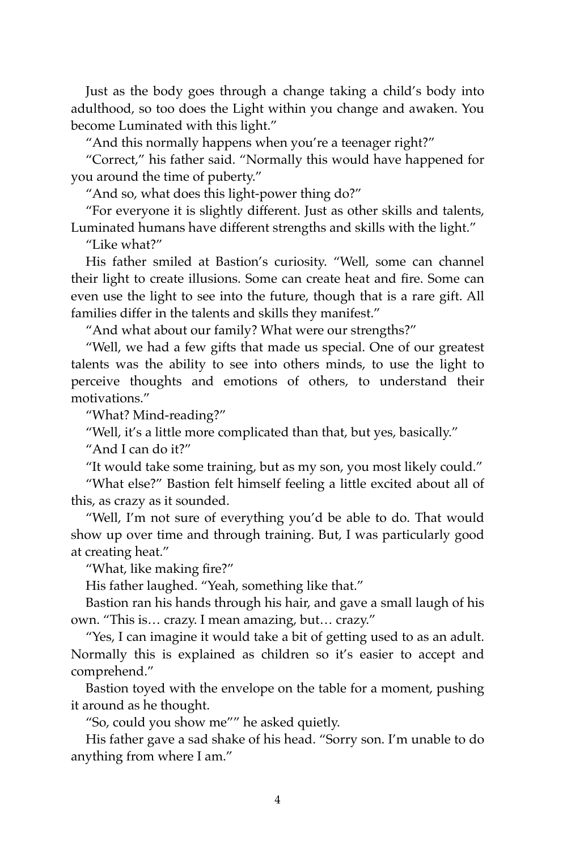Just as the body goes through a change taking a child's body into adulthood, so too does the Light within you change and awaken. You become Luminated with this light."

"And this normally happens when you're a teenager right?"

"Correct," his father said. "Normally this would have happened for you around the time of puberty."

"And so, what does this light-power thing do?"

"For everyone it is slightly different. Just as other skills and talents, Luminated humans have different strengths and skills with the light."

"Like what?"

His father smiled at Bastion's curiosity. "Well, some can channel their light to create illusions. Some can create heat and fire. Some can even use the light to see into the future, though that is a rare gift. All families differ in the talents and skills they manifest."

"And what about our family? What were our strengths?"

"Well, we had a few gifts that made us special. One of our greatest talents was the ability to see into others minds, to use the light to perceive thoughts and emotions of others, to understand their motivations."

"What? Mind-reading?"

"Well, it's a little more complicated than that, but yes, basically."

"And I can do it?"

"It would take some training, but as my son, you most likely could."

"What else?" Bastion felt himself feeling a little excited about all of this, as crazy as it sounded.

"Well, I'm not sure of everything you'd be able to do. That would show up over time and through training. But, I was particularly good at creating heat."

"What, like making fire?"

His father laughed. "Yeah, something like that."

Bastion ran his hands through his hair, and gave a small laugh of his own. "This is… crazy. I mean amazing, but… crazy."

"Yes, I can imagine it would take a bit of getting used to as an adult. Normally this is explained as children so it's easier to accept and comprehend."

Bastion toyed with the envelope on the table for a moment, pushing it around as he thought.

"So, could you show me"" he asked quietly.

His father gave a sad shake of his head. "Sorry son. I'm unable to do anything from where I am."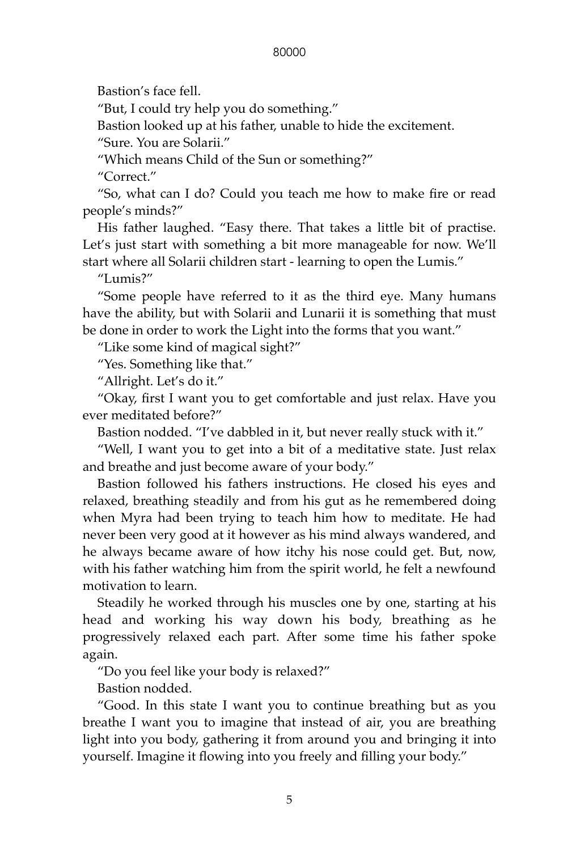Bastion's face fell.

"But, I could try help you do something."

Bastion looked up at his father, unable to hide the excitement.

"Sure. You are Solarii."

"Which means Child of the Sun or something?"

"Correct."

"So, what can I do? Could you teach me how to make fire or read people's minds?"

His father laughed. "Easy there. That takes a little bit of practise. Let's just start with something a bit more manageable for now. We'll start where all Solarii children start - learning to open the Lumis."

"Lumis?"

"Some people have referred to it as the third eye. Many humans have the ability, but with Solarii and Lunarii it is something that must be done in order to work the Light into the forms that you want."

"Like some kind of magical sight?"

"Yes. Something like that."

"Allright. Let's do it."

"Okay, first I want you to get comfortable and just relax. Have you ever meditated before?"

Bastion nodded. "I've dabbled in it, but never really stuck with it."

"Well, I want you to get into a bit of a meditative state. Just relax and breathe and just become aware of your body."

Bastion followed his fathers instructions. He closed his eyes and relaxed, breathing steadily and from his gut as he remembered doing when Myra had been trying to teach him how to meditate. He had never been very good at it however as his mind always wandered, and he always became aware of how itchy his nose could get. But, now, with his father watching him from the spirit world, he felt a newfound motivation to learn.

Steadily he worked through his muscles one by one, starting at his head and working his way down his body, breathing as he progressively relaxed each part. After some time his father spoke again.

"Do you feel like your body is relaxed?"

Bastion nodded.

"Good. In this state I want you to continue breathing but as you breathe I want you to imagine that instead of air, you are breathing light into you body, gathering it from around you and bringing it into yourself. Imagine it flowing into you freely and filling your body."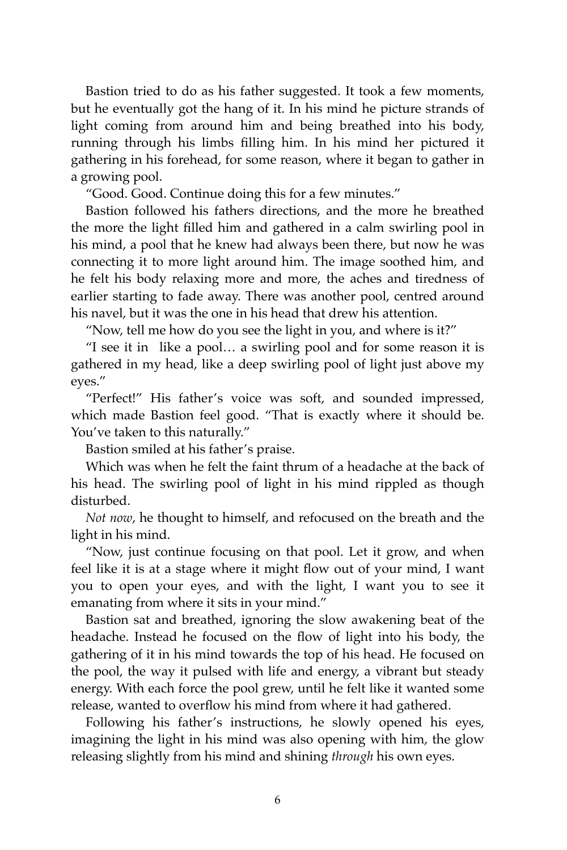Bastion tried to do as his father suggested. It took a few moments, but he eventually got the hang of it. In his mind he picture strands of light coming from around him and being breathed into his body, running through his limbs filling him. In his mind her pictured it gathering in his forehead, for some reason, where it began to gather in a growing pool.

"Good. Good. Continue doing this for a few minutes."

Bastion followed his fathers directions, and the more he breathed the more the light filled him and gathered in a calm swirling pool in his mind, a pool that he knew had always been there, but now he was connecting it to more light around him. The image soothed him, and he felt his body relaxing more and more, the aches and tiredness of earlier starting to fade away. There was another pool, centred around his navel, but it was the one in his head that drew his attention.

"Now, tell me how do you see the light in you, and where is it?"

"I see it in like a pool… a swirling pool and for some reason it is gathered in my head, like a deep swirling pool of light just above my eyes."

"Perfect!" His father's voice was soft, and sounded impressed, which made Bastion feel good. "That is exactly where it should be. You've taken to this naturally."

Bastion smiled at his father's praise.

Which was when he felt the faint thrum of a headache at the back of his head. The swirling pool of light in his mind rippled as though disturbed.

*Not now*, he thought to himself, and refocused on the breath and the light in his mind.

"Now, just continue focusing on that pool. Let it grow, and when feel like it is at a stage where it might flow out of your mind, I want you to open your eyes, and with the light, I want you to see it emanating from where it sits in your mind."

Bastion sat and breathed, ignoring the slow awakening beat of the headache. Instead he focused on the flow of light into his body, the gathering of it in his mind towards the top of his head. He focused on the pool, the way it pulsed with life and energy, a vibrant but steady energy. With each force the pool grew, until he felt like it wanted some release, wanted to overflow his mind from where it had gathered.

Following his father's instructions, he slowly opened his eyes, imagining the light in his mind was also opening with him, the glow releasing slightly from his mind and shining *through* his own eyes.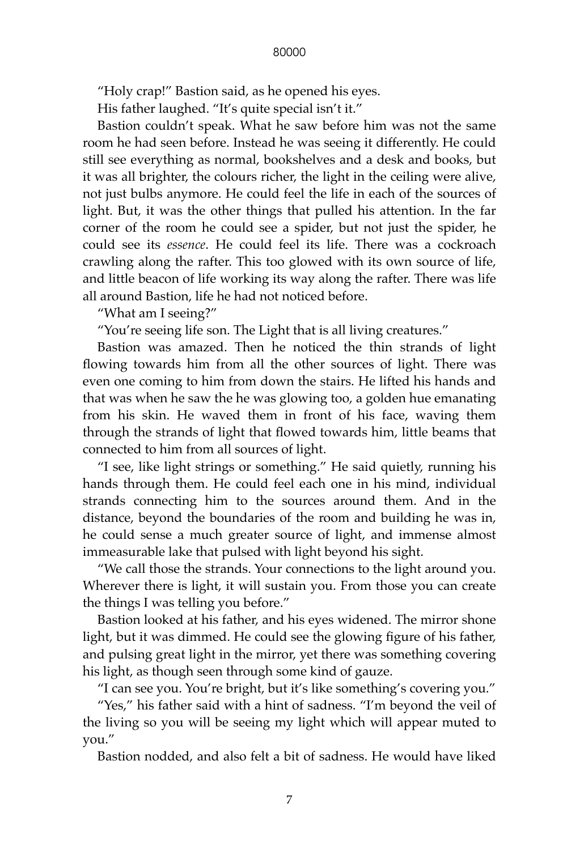"Holy crap!" Bastion said, as he opened his eyes.

His father laughed. "It's quite special isn't it."

Bastion couldn't speak. What he saw before him was not the same room he had seen before. Instead he was seeing it differently. He could still see everything as normal, bookshelves and a desk and books, but it was all brighter, the colours richer, the light in the ceiling were alive, not just bulbs anymore. He could feel the life in each of the sources of light. But, it was the other things that pulled his attention. In the far corner of the room he could see a spider, but not just the spider, he could see its *essence*. He could feel its life. There was a cockroach crawling along the rafter. This too glowed with its own source of life, and little beacon of life working its way along the rafter. There was life all around Bastion, life he had not noticed before.

"What am I seeing?"

"You're seeing life son. The Light that is all living creatures."

Bastion was amazed. Then he noticed the thin strands of light flowing towards him from all the other sources of light. There was even one coming to him from down the stairs. He lifted his hands and that was when he saw the he was glowing too, a golden hue emanating from his skin. He waved them in front of his face, waving them through the strands of light that flowed towards him, little beams that connected to him from all sources of light.

"I see, like light strings or something." He said quietly, running his hands through them. He could feel each one in his mind, individual strands connecting him to the sources around them. And in the distance, beyond the boundaries of the room and building he was in, he could sense a much greater source of light, and immense almost immeasurable lake that pulsed with light beyond his sight.

"We call those the strands. Your connections to the light around you. Wherever there is light, it will sustain you. From those you can create the things I was telling you before."

Bastion looked at his father, and his eyes widened. The mirror shone light, but it was dimmed. He could see the glowing figure of his father, and pulsing great light in the mirror, yet there was something covering his light, as though seen through some kind of gauze.

"I can see you. You're bright, but it's like something's covering you."

"Yes," his father said with a hint of sadness. "I'm beyond the veil of the living so you will be seeing my light which will appear muted to you."

Bastion nodded, and also felt a bit of sadness. He would have liked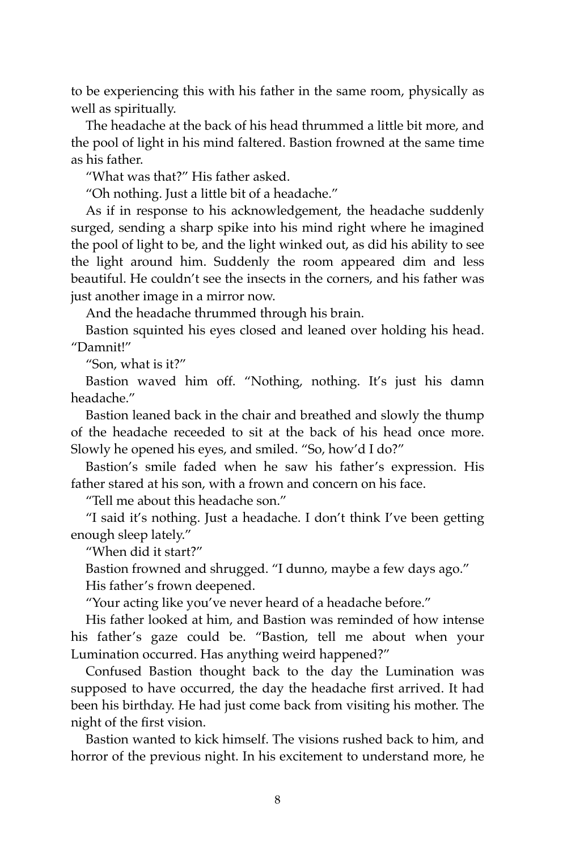to be experiencing this with his father in the same room, physically as well as spiritually.

The headache at the back of his head thrummed a little bit more, and the pool of light in his mind faltered. Bastion frowned at the same time as his father.

"What was that?" His father asked.

"Oh nothing. Just a little bit of a headache."

As if in response to his acknowledgement, the headache suddenly surged, sending a sharp spike into his mind right where he imagined the pool of light to be, and the light winked out, as did his ability to see the light around him. Suddenly the room appeared dim and less beautiful. He couldn't see the insects in the corners, and his father was just another image in a mirror now.

And the headache thrummed through his brain.

Bastion squinted his eyes closed and leaned over holding his head. "Damnit!"

"Son, what is it?"

Bastion waved him off. "Nothing, nothing. It's just his damn headache."

Bastion leaned back in the chair and breathed and slowly the thump of the headache receeded to sit at the back of his head once more. Slowly he opened his eyes, and smiled. "So, how'd I do?"

Bastion's smile faded when he saw his father's expression. His father stared at his son, with a frown and concern on his face.

"Tell me about this headache son."

"I said it's nothing. Just a headache. I don't think I've been getting enough sleep lately."

"When did it start?"

Bastion frowned and shrugged. "I dunno, maybe a few days ago."

His father's frown deepened.

"Your acting like you've never heard of a headache before."

His father looked at him, and Bastion was reminded of how intense his father's gaze could be. "Bastion, tell me about when your Lumination occurred. Has anything weird happened?"

Confused Bastion thought back to the day the Lumination was supposed to have occurred, the day the headache first arrived. It had been his birthday. He had just come back from visiting his mother. The night of the first vision.

Bastion wanted to kick himself. The visions rushed back to him, and horror of the previous night. In his excitement to understand more, he